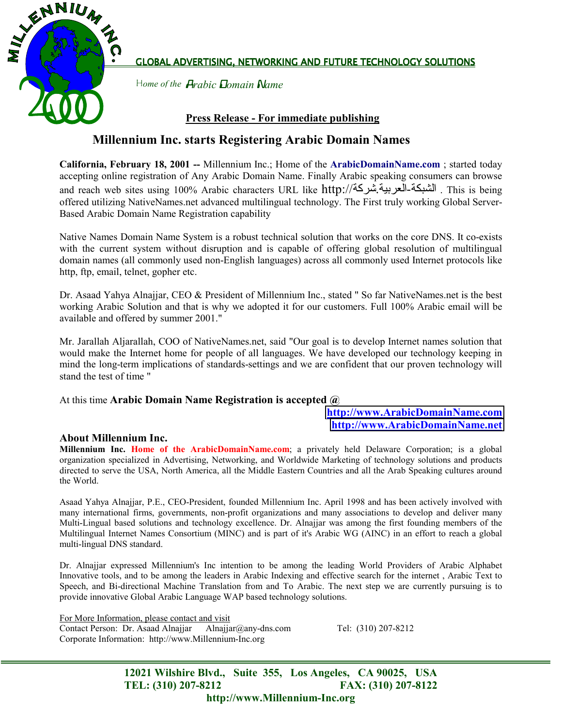

GLOBAL ADVERTISING, NETWORKING AND FUTURE TECHNOLOGY SOLUTIONS

H*ome of the* A*rabic* D*omain* N*ame*

## **Press Release - For immediate publishing**

# **Millennium Inc. starts Registering Arabic Domain Names**

**California, February 18, 2001 --** Millennium Inc.; Home of the **ArabicDomainName.com** ; started today accepting online registration of Any Arabic Domain Name. Finally Arabic speaking consumers can browse and reach web sites using 100% Arabic characters URL like http://شركة.العربية-الشبكة . This is being offered utilizing NativeNames.net advanced multilingual technology. The First truly working Global Server-Based Arabic Domain Name Registration capability

Native Names Domain Name System is a robust technical solution that works on the core DNS. It co-exists with the current system without disruption and is capable of offering global resolution of multilingual domain names (all commonly used non-English languages) across all commonly used Internet protocols like http, ftp, email, telnet, gopher etc.

Dr. Asaad Yahya Alnajjar, CEO & President of Millennium Inc., stated " So far NativeNames.net is the best working Arabic Solution and that is why we adopted it for our customers. Full 100% Arabic email will be available and offered by summer 2001."

Mr. Jarallah Aljarallah, COO of NativeNames.net, said "Our goal is to develop Internet names solution that would make the Internet home for people of all languages. We have developed our technology keeping in mind the long-term implications of standards-settings and we are confident that our proven technology will stand the test of time "

#### At this time **Arabic Domain Name Registration is accepted @**

### **[http://www.ArabicDomainName.com](http://www.arabicdomainname.com/) [http://www.ArabicDomainName.net](http://www.arabicdomainname.net/)**

#### **About Millennium Inc.**

**Millennium Inc. Home of the ArabicDomainName.com**; a privately held Delaware Corporation; is a global organization specialized in Advertising, Networking, and Worldwide Marketing of technology solutions and products directed to serve the USA, North America, all the Middle Eastern Countries and all the Arab Speaking cultures around the World.

Asaad Yahya Alnajjar, P.E., CEO-President, founded Millennium Inc. April 1998 and has been actively involved with many international firms, governments, non-profit organizations and many associations to develop and deliver many Multi-Lingual based solutions and technology excellence. Dr. Alnajjar was among the first founding members of the Multilingual Internet Names Consortium (MINC) and is part of it's Arabic WG (AINC) in an effort to reach a global multi-lingual DNS standard.

Dr. Alnajjar expressed Millennium's Inc intention to be among the leading World Providers of Arabic Alphabet Innovative tools, and to be among the leaders in Arabic Indexing and effective search for the internet , Arabic Text to Speech, and Bi-directional Machine Translation from and To Arabic. The next step we are currently pursuing is to provide innovative Global Arabic Language WAP based technology solutions.

For More Information, please contact and visit Contact Person: Dr. Asaad Alnajjar Alnajjar@any-dns.com Tel: (310) 207-8212 Corporate Information: http://www.Millennium-Inc.org

**12021 Wilshire Blvd., Suite 355, Los Angeles, CA 90025, USA TEL: (310) 207-8212 FAX: (310) 207-8122 http://www.Millennium-Inc.org**